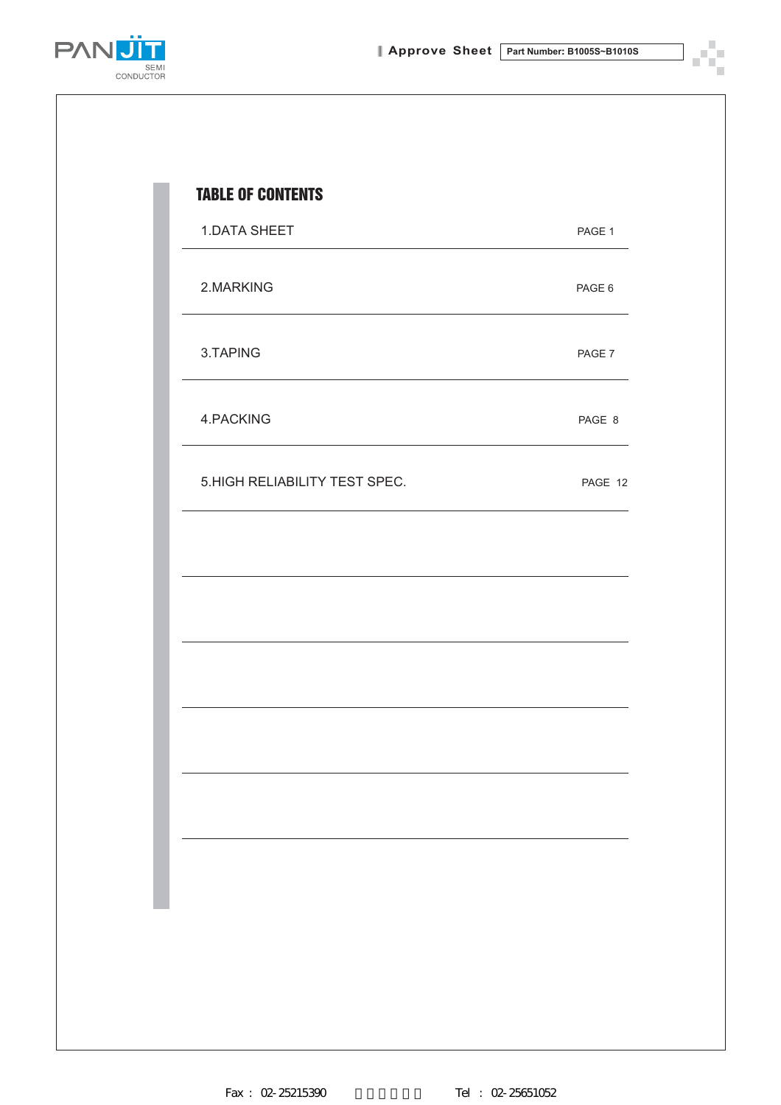c,



| <b>1.DATA SHEET</b>            | PAGE 1  |
|--------------------------------|---------|
| 2.MARKING                      | PAGE 6  |
| 3.TAPING                       | PAGE 7  |
| 4.PACKING                      | PAGE 8  |
| 5. HIGH RELIABILITY TEST SPEC. | PAGE 12 |
|                                |         |
|                                |         |
|                                |         |
|                                |         |
|                                |         |
|                                |         |
|                                |         |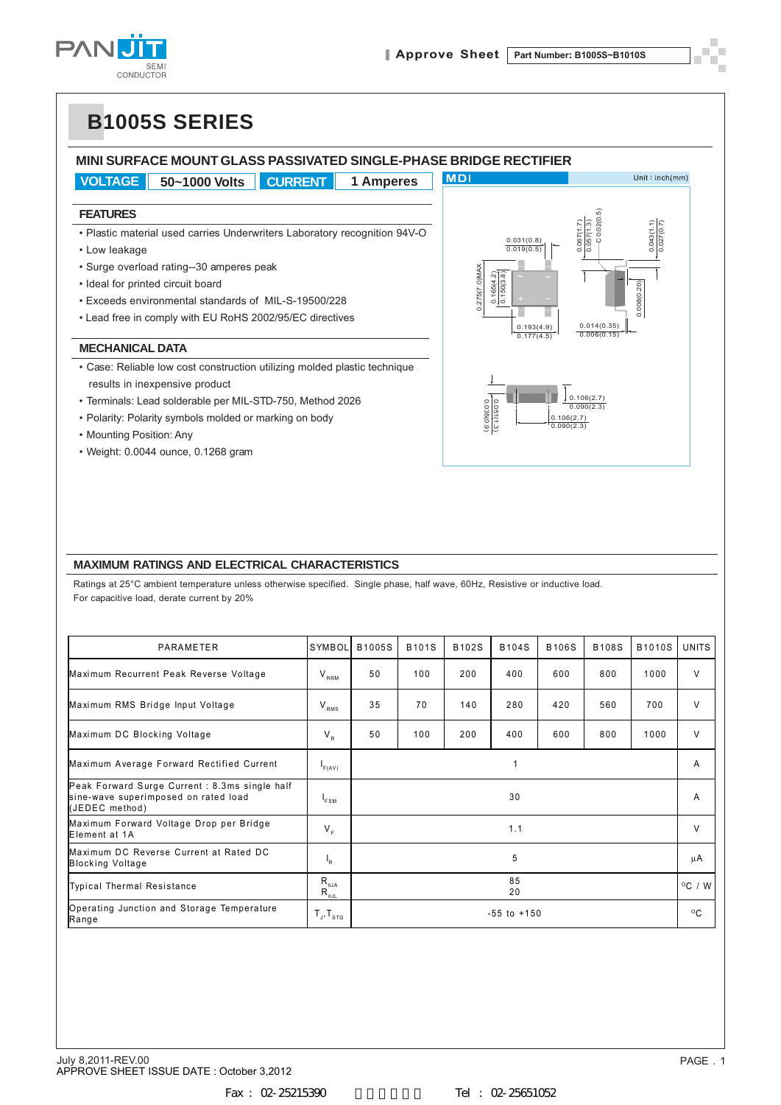



#### **MAXIMUM RATINGS AND ELECTRICAL CHARACTERISTICS**

| • Surge overload rating--30 amperes peak                                                                                                                                                                                           |                                                                                 |        |              |                                                  |                                 |                          |                          |        |                  |
|------------------------------------------------------------------------------------------------------------------------------------------------------------------------------------------------------------------------------------|---------------------------------------------------------------------------------|--------|--------------|--------------------------------------------------|---------------------------------|--------------------------|--------------------------|--------|------------------|
| • Ideal for printed circuit board                                                                                                                                                                                                  |                                                                                 |        |              | 0.275(7.0)MAX<br>$\frac{0.165(4.2)}{0.150(3.8)}$ |                                 |                          |                          |        |                  |
| • Exceeds environmental standards of MIL-S-19500/228                                                                                                                                                                               |                                                                                 |        |              |                                                  |                                 | 0.008(0.20)              |                          |        |                  |
| • Lead free in comply with EU RoHS 2002/95/EC directives                                                                                                                                                                           |                                                                                 |        | 0.193(4.9)   |                                                  | 0.014(0.35)                     |                          |                          |        |                  |
| <b>MECHANICAL DATA</b>                                                                                                                                                                                                             |                                                                                 |        | 0.177(4.5)   |                                                  | 0.006(0.15)                     |                          |                          |        |                  |
| • Case: Reliable low cost construction utilizing molded plastic technique                                                                                                                                                          |                                                                                 |        |              |                                                  |                                 |                          |                          |        |                  |
| results in inexpensive product                                                                                                                                                                                                     |                                                                                 |        |              |                                                  |                                 |                          |                          |        |                  |
| · Terminals: Lead solderable per MIL-STD-750, Method 2026                                                                                                                                                                          |                                                                                 |        |              |                                                  |                                 |                          | 0.106(2.7)<br>0.090(2.3) |        |                  |
| • Polarity: Polarity symbols molded or marking on body                                                                                                                                                                             |                                                                                 |        |              |                                                  | $\frac{0.051(1.3)}{0.035(0.9)}$ | 0.106(2.7)<br>0.090(2.3) |                          |        |                  |
| • Mounting Position: Any                                                                                                                                                                                                           |                                                                                 |        |              |                                                  |                                 |                          |                          |        |                  |
| • Weight: 0.0044 ounce, 0.1268 gram                                                                                                                                                                                                |                                                                                 |        |              |                                                  |                                 |                          |                          |        |                  |
| <b>MAXIMUM RATINGS AND ELECTRICAL CHARACTERISTICS</b><br>Ratings at 25°C ambient temperature unless otherwise specified. Single phase, half wave, 60Hz, Resistive or inductive load.<br>For capacitive load, derate current by 20% |                                                                                 |        |              |                                                  |                                 |                          |                          |        |                  |
| PARAMETER                                                                                                                                                                                                                          | SYMBOL                                                                          | B1005S | <b>B101S</b> | B102S                                            | <b>B104S</b>                    | <b>B106S</b>             | <b>B108S</b>             | B1010S | <b>UNITS</b>     |
| Maximum Recurrent Peak Reverse Voltage                                                                                                                                                                                             | $\mathsf{V}_{\scriptscriptstyle \sf{RRM}}$                                      | 50     | 100          | 200                                              | 400                             | 600                      | 800                      | 1000   | $\vee$           |
| Maximum RMS Bridge Input Voltage                                                                                                                                                                                                   | $\rm V_{\rm\, RMS}$                                                             | 35     | 70           | 140                                              | 280                             | 420                      | 560                      | 700    | V                |
| Maximum DC Blocking Voltage                                                                                                                                                                                                        | $V_{R}$                                                                         | 50     | 100          | 200                                              | 400                             | 600                      | 800                      | 1000   | $\vee$           |
| Maximum Average Forward Rectified Current                                                                                                                                                                                          | $I_{F(AV)}$                                                                     |        |              |                                                  | 1                               |                          |                          |        | Α                |
| Peak Forward Surge Current : 8.3ms single half<br>sine-wave superimposed on rated load<br>(JEDEC method)                                                                                                                           | $I_{FSM}$                                                                       |        |              |                                                  | 30                              |                          |                          |        | A                |
| Maximum Forward Voltage Drop per Bridge<br>Element at 1A                                                                                                                                                                           | $V_F$                                                                           |        |              |                                                  | 1.1                             |                          |                          |        | V                |
| Maximum DC Reverse Current at Rated DC<br><b>Blocking Voltage</b>                                                                                                                                                                  | $\mathsf{I}_{\mathsf{R}}$                                                       |        |              |                                                  | 5                               |                          |                          |        | $\mu$ A          |
| <b>Typical Thermal Resistance</b>                                                                                                                                                                                                  | $R_{\theta JA}$<br>$\mathsf{R}_{\scriptscriptstyle{\theta\text{-}\!\text{JL}}}$ |        | 85<br>20     |                                                  |                                 |                          |                          |        | $^{\circ}$ C / W |
| Operating Junction and Storage Temperature<br>$-55$ to $+150$<br>$T_{J}$ , $T_{STG}$                                                                                                                                               |                                                                                 |        |              |                                                  |                                 |                          |                          |        |                  |
| Range                                                                                                                                                                                                                              |                                                                                 |        |              |                                                  |                                 |                          |                          |        | $^{\circ}$ C     |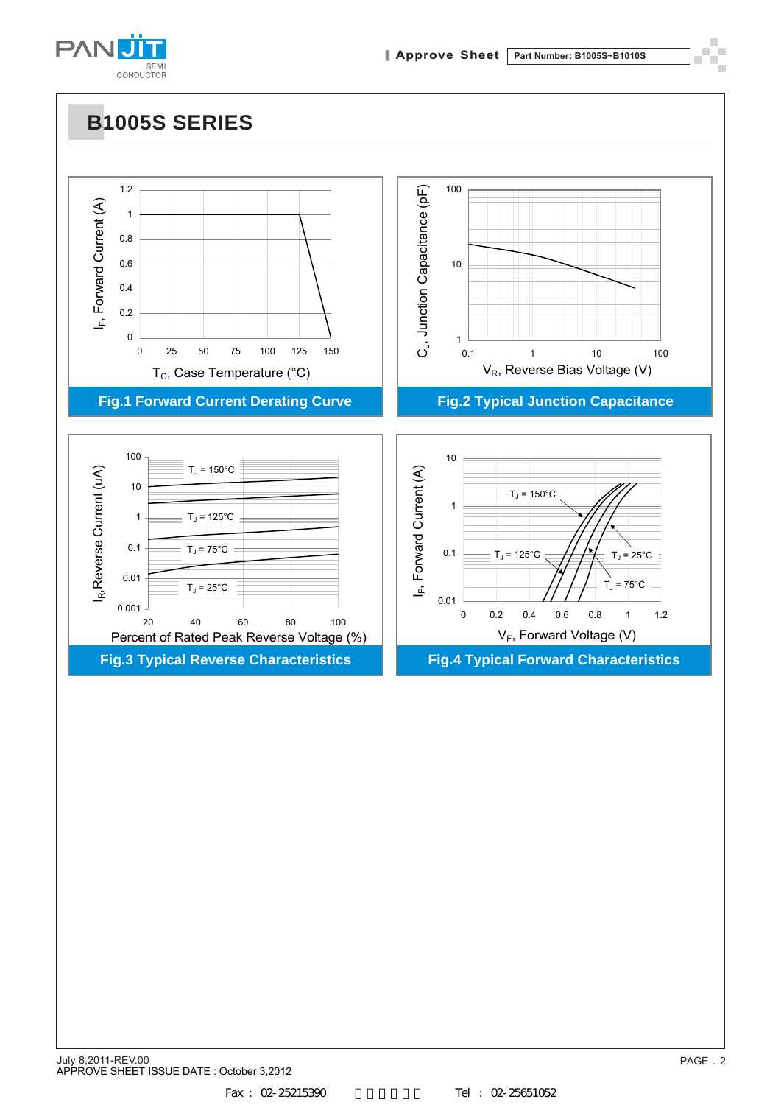

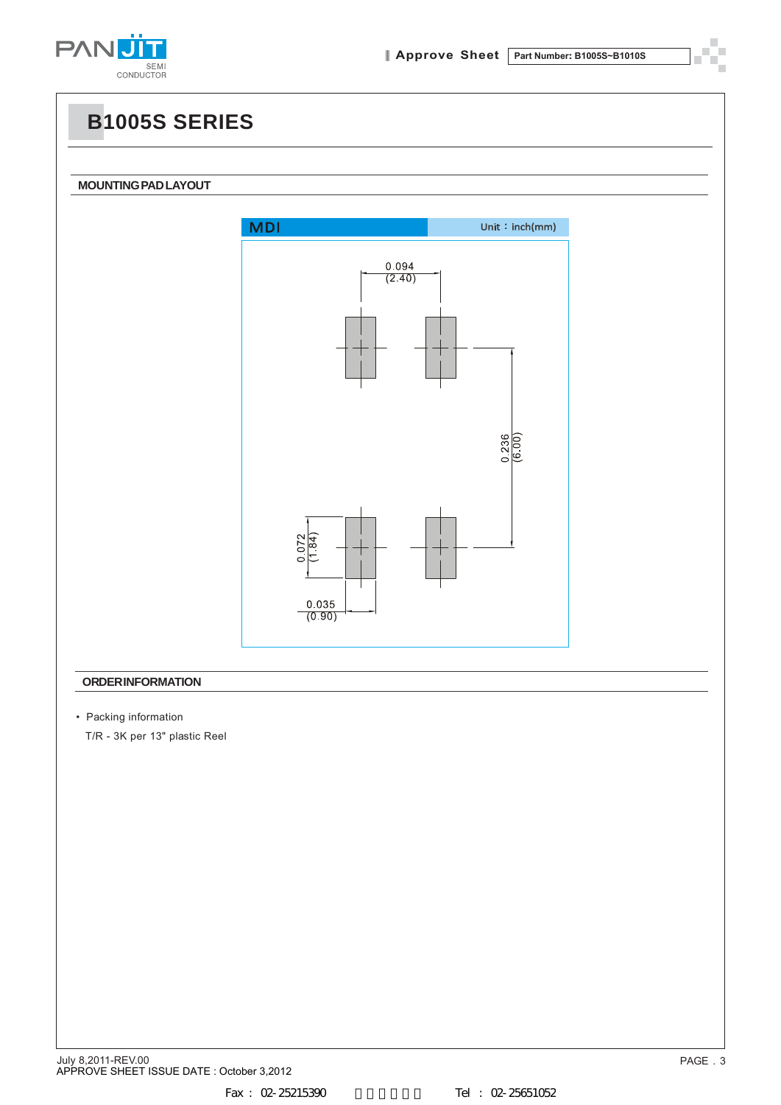

**MOUNTING PAD LAYOUT**

П

i.



#### **ORDER INFORMATION**

• Packing information

T/R - 3K per 13" plastic Reel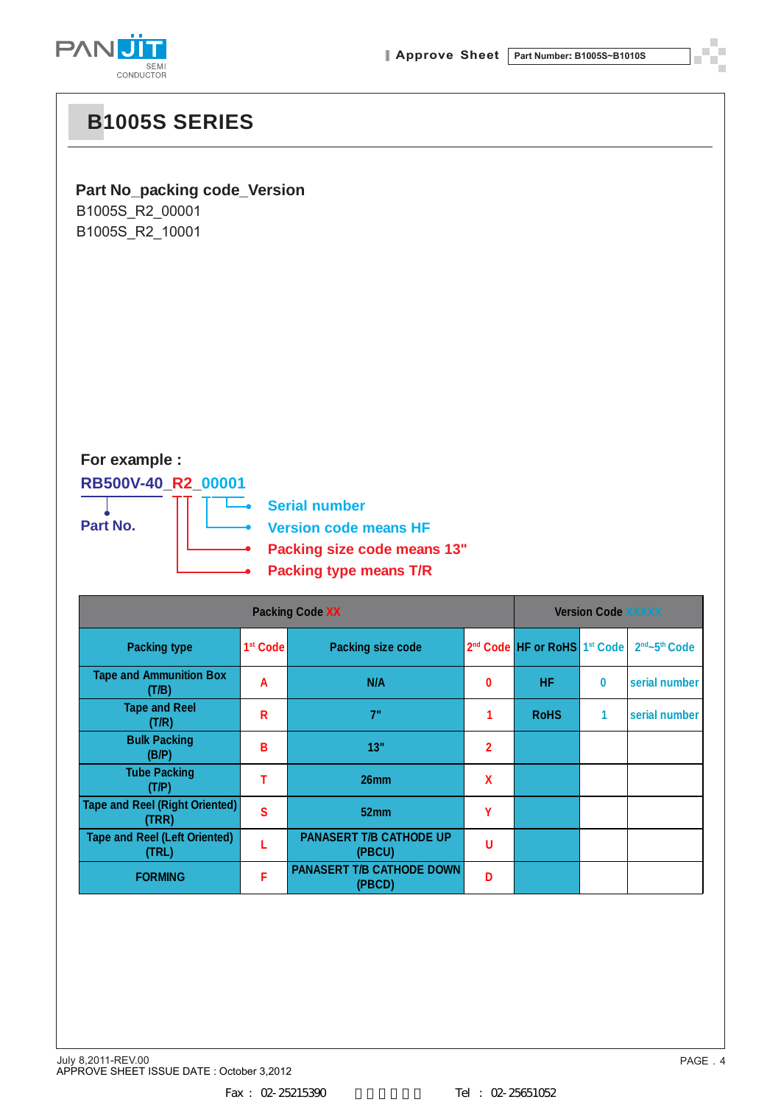

### **Part No\_packing code\_Version**

B1005S\_R2\_00001 B1005S\_R2\_10001

### **For example :**

### **RB500V-40\_R2\_00001**



**Serial number**

**Version code means HF**

**Packing size code means 13"**

**Packing type means T/R**

|                                                |                      | <b>Version Code XXXXX</b>                  |                |                                                      |          |                                       |
|------------------------------------------------|----------------------|--------------------------------------------|----------------|------------------------------------------------------|----------|---------------------------------------|
| <b>Packing type</b>                            | 1 <sup>st</sup> Code | <b>Packing size code</b>                   |                | 2 <sup>nd</sup> Code HF or RoHS 1 <sup>st</sup> Code |          | 2 <sup>nd</sup> ~5 <sup>th</sup> Code |
| <b>Tape and Ammunition Box</b><br>(T/B)        | A                    | N/A                                        | $\bf{0}$       | HF.                                                  | $\bf{0}$ | serial number                         |
| <b>Tape and Reel</b><br>(T/R)                  | R                    | 7"                                         | 1              | <b>RoHS</b>                                          | 1        | serial number                         |
| <b>Bulk Packing</b><br>(B/P)                   | В                    | 13"                                        | $\overline{2}$ |                                                      |          |                                       |
| <b>Tube Packing</b><br>(T/P)                   |                      | 26mm                                       | X              |                                                      |          |                                       |
| <b>Tape and Reel (Right Oriented)</b><br>(TRR) | S                    | 52 <sub>mm</sub>                           | Υ              |                                                      |          |                                       |
| <b>Tape and Reel (Left Oriented)</b><br>(TRL)  |                      | <b>PANASERT T/B CATHODE UP</b><br>(PBCU)   | U              |                                                      |          |                                       |
| <b>FORMING</b>                                 | F                    | <b>PANASERT T/B CATHODE DOWN</b><br>(PBCD) | D              |                                                      |          |                                       |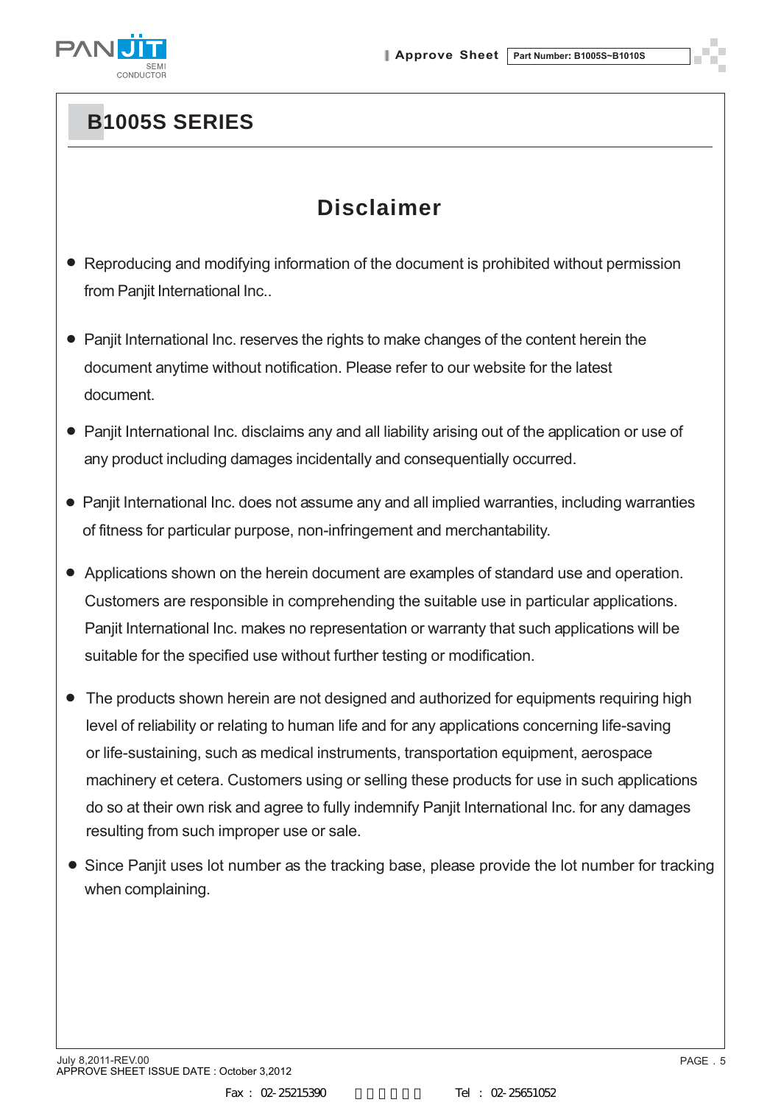

# **Disclaimer**

- Reproducing and modifying information of the document is prohibited without permission from Panjit International Inc..
- Panjit International Inc. reserves the rights to make changes of the content herein the document anytime without notification. Please refer to our website for the latest document.
- Panjit International Inc. disclaims any and all liability arising out of the application or use of any product including damages incidentally and consequentially occurred.
- Panjit International Inc. does not assume any and all implied warranties, including warranties of fitness for particular purpose, non-infringement and merchantability.
- Applications shown on the herein document are examples of standard use and operation. Customers are responsible in comprehending the suitable use in particular applications. Panjit International Inc. makes no representation or warranty that such applications will be suitable for the specified use without further testing or modification.
- The products shown herein are not designed and authorized for equipments requiring high level of reliability or relating to human life and for any applications concerning life-saving or life-sustaining, such as medical instruments, transportation equipment, aerospace machinery et cetera. Customers using or selling these products for use in such applications do so at their own risk and agree to fully indemnify Panjit International Inc. for any damages resulting from such improper use or sale.
- Since Panjit uses lot number as the tracking base, please provide the lot number for tracking when complaining.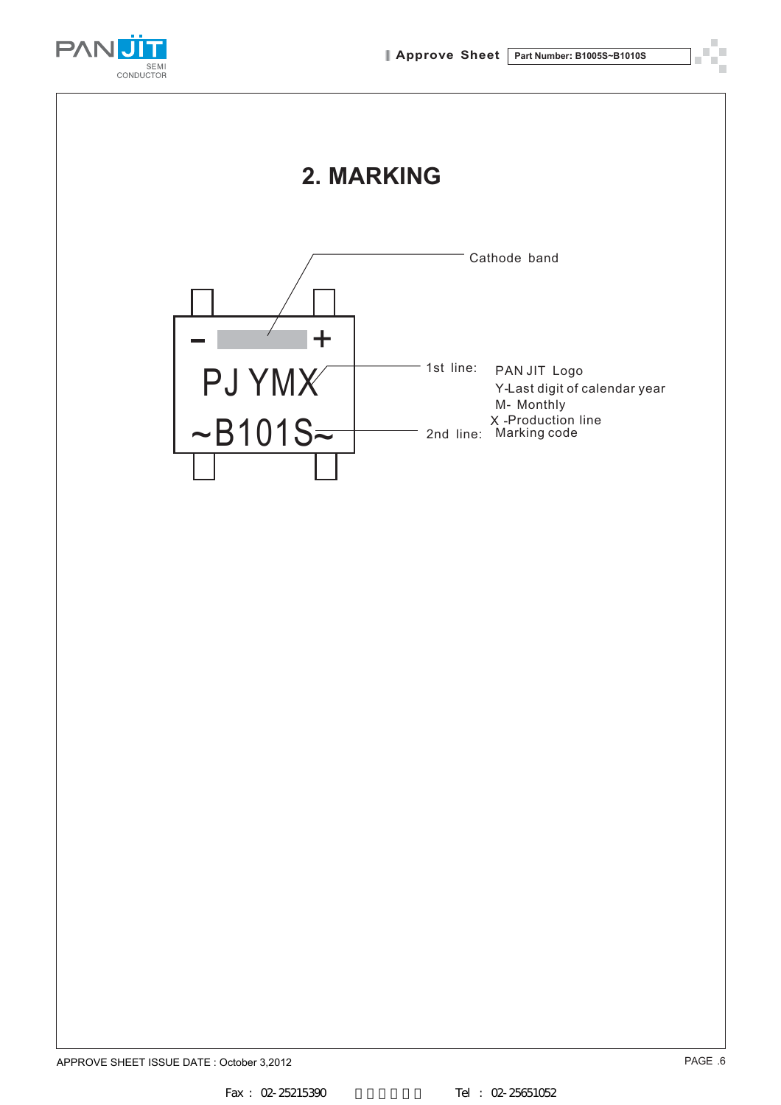

# **2. MARKING**

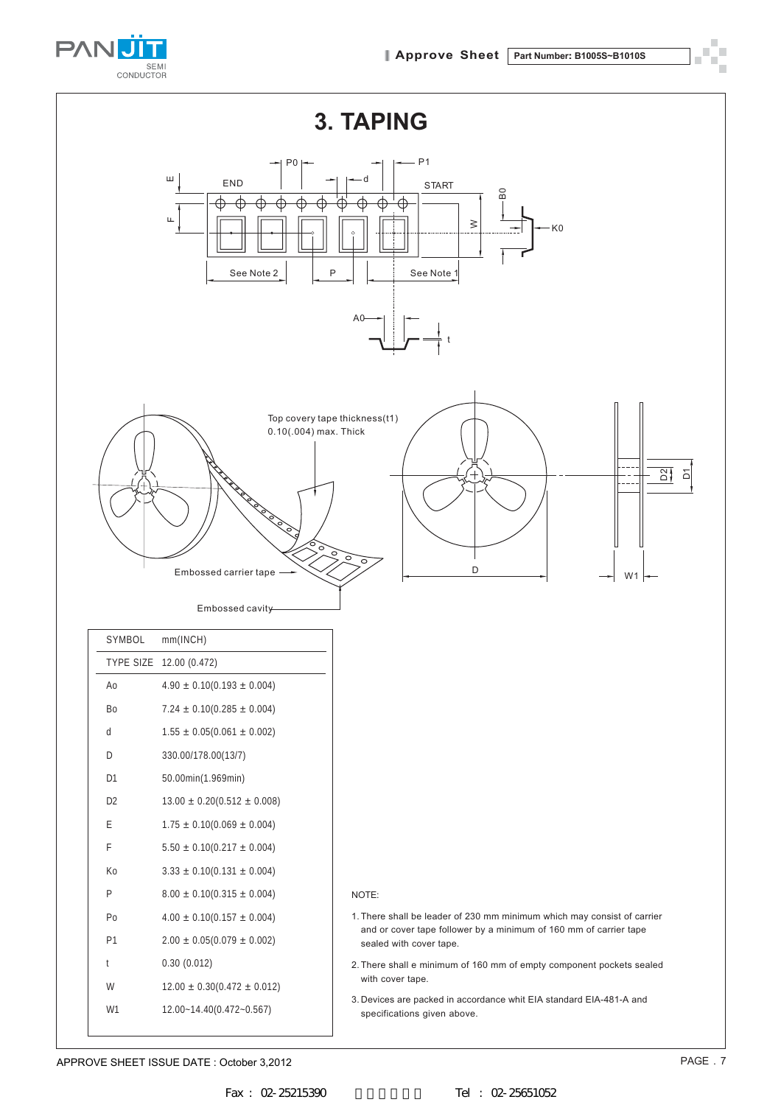

 $\mathbf{r}$ ۳<br>F

 $\bar{u}$ 



| SYMBOL         | mm(INCH)                          |
|----------------|-----------------------------------|
| TYPE SIZE      | 12.00 (0.472)                     |
| Ao             | $4.90 \pm 0.10(0.193 \pm 0.004)$  |
| B <sub>0</sub> | $7.24 \pm 0.10(0.285 \pm 0.004)$  |
| d              | $1.55 \pm 0.05(0.061 \pm 0.002)$  |
| D              | 330.00/178.00(13/7)               |
| D1             | 50.00min(1.969min)                |
| D <sub>2</sub> | $13.00 \pm 0.20(0.512 \pm 0.008)$ |
| E              | $1.75 \pm 0.10(0.069 \pm 0.004)$  |
| F              | $5.50 \pm 0.10(0.217 \pm 0.004)$  |
| Ko             | $3.33 \pm 0.10(0.131 \pm 0.004)$  |
| P              | $8.00 \pm 0.10(0.315 \pm 0.004)$  |
| Po             | $4.00 \pm 0.10(0.157 \pm 0.004)$  |
| P <sub>1</sub> | $2.00 \pm 0.05(0.079 \pm 0.002)$  |
| t              | 0.30(0.012)                       |
| W              | $12.00 \pm 0.30(0.472 \pm 0.012)$ |
| W1             | 12.00~14.40(0.472~0.567)          |
|                |                                   |

#### NOTE:

- 1.There shall be leader of 230 mm minimum which may consist of carrier and or cover tape follower by a minimum of 160 mm of carrier tape sealed with cover tape.
- 2.There shall e minimum of 160 mm of empty component pockets sealed with cover tape.
- 3. Devices are packed in accordance whit EIA standard EIA-481-A and specifications given above.

APPROVE SHEET ISSUE DATE : October 3,2012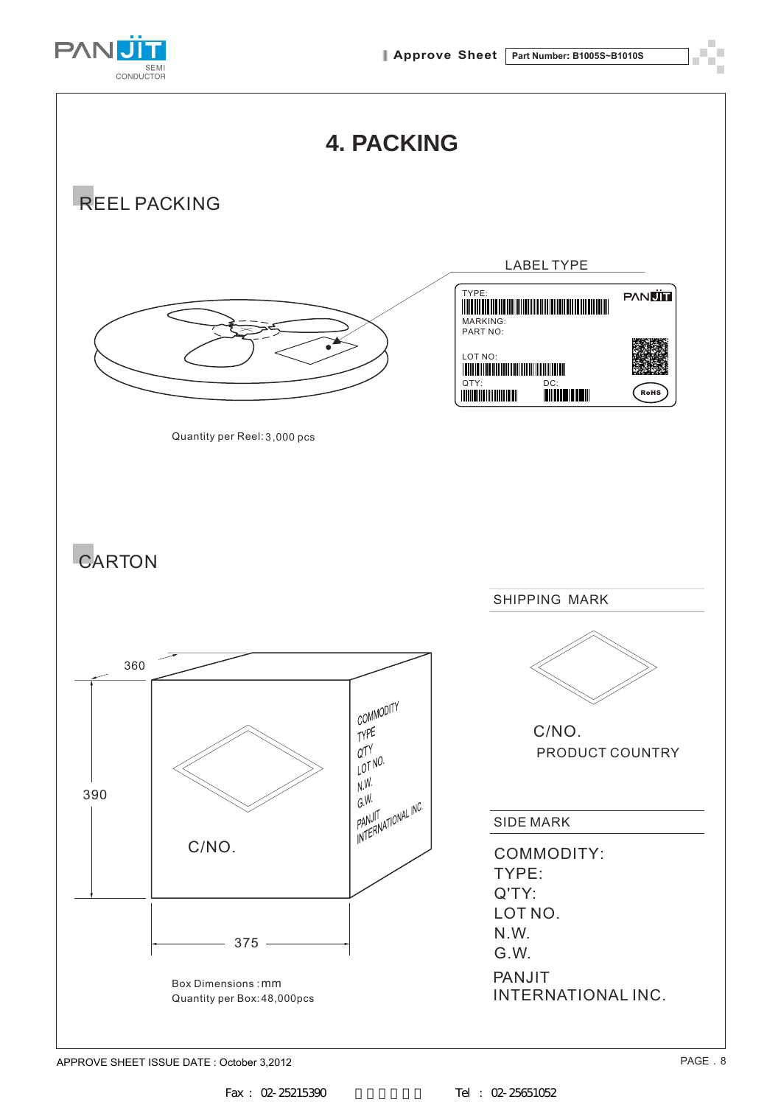



APPROVE SHEET ISSUE DATE : October 3,2012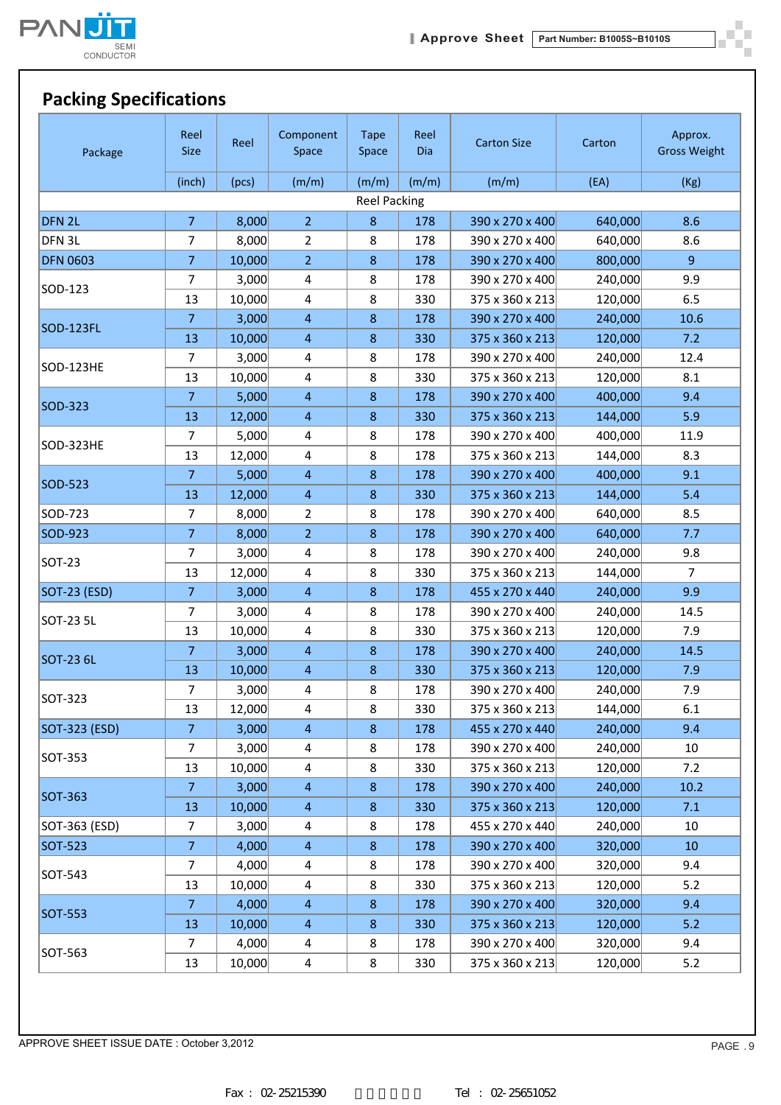

ò.

# **Packing Specifications**

| Package             | Reel<br><b>Size</b> | Reel   | Component<br>Space      | <b>Tape</b><br>Space | Reel<br>Dia | <b>Carton Size</b> | Carton  | Approx.<br><b>Gross Weight</b> |
|---------------------|---------------------|--------|-------------------------|----------------------|-------------|--------------------|---------|--------------------------------|
|                     | (inch)              | (pcs)  | (m/m)                   | (m/m)                | (m/m)       | (m/m)              | (EA)    | (Kg)                           |
|                     |                     |        |                         | <b>Reel Packing</b>  |             |                    |         |                                |
| DFN <sub>2L</sub>   | $\overline{7}$      | 8,000  | $\overline{2}$          | $8\phantom{1}$       | 178         | 390 x 270 x 400    | 640,000 | 8.6                            |
| DFN 3L              | $\overline{7}$      | 8,000  | $\overline{2}$          | 8                    | 178         | 390 x 270 x 400    | 640,000 | 8.6                            |
| <b>DFN 0603</b>     | $\overline{7}$      | 10,000 | $\overline{2}$          | $8\phantom{1}$       | 178         | 390 x 270 x 400    | 800,000 | $\overline{9}$                 |
|                     | 7                   | 3,000  | $\overline{\mathbf{4}}$ | 8                    | 178         | 390 x 270 x 400    | 240,000 | 9.9                            |
| SOD-123             | 13                  | 10,000 | $\overline{\mathbf{4}}$ | 8                    | 330         | 375 x 360 x 213    | 120,000 | 6.5                            |
|                     | $\overline{7}$      | 3,000  | $\overline{4}$          | $\bf 8$              | 178         | 390 x 270 x 400    | 240,000 | 10.6                           |
| SOD-123FL           | 13                  | 10,000 | $\overline{4}$          | $\bf 8$              | 330         | 375 x 360 x 213    | 120,000 | 7.2                            |
|                     | 7                   | 3,000  | 4                       | 8                    | 178         | 390 x 270 x 400    | 240,000 | 12.4                           |
| SOD-123HE           | 13                  | 10,000 | $\overline{4}$          | 8                    | 330         | 375 x 360 x 213    | 120,000 | 8.1                            |
|                     | $\overline{7}$      | 5,000  | $\overline{4}$          | $\bf 8$              | 178         | 390 x 270 x 400    | 400,000 | 9.4                            |
| SOD-323             | 13                  | 12,000 | $\overline{4}$          | $\,8\,$              | 330         | 375 x 360 x 213    | 144,000 | 5.9                            |
|                     | 7                   | 5,000  | 4                       | 8                    | 178         | 390 x 270 x 400    | 400,000 | 11.9                           |
| SOD-323HE           | 13                  | 12,000 | $\overline{4}$          | 8                    | 178         | 375 x 360 x 213    | 144,000 | 8.3                            |
|                     | $\overline{7}$      | 5,000  | $\overline{4}$          | $\,8\,$              | 178         | 390 x 270 x 400    | 400,000 | 9.1                            |
| SOD-523             | 13                  | 12,000 | $\overline{4}$          | $8\phantom{1}$       | 330         | 375 x 360 x 213    | 144,000 | 5.4                            |
| SOD-723             | 7                   | 8,000  | $\overline{2}$          | 8                    | 178         | 390 x 270 x 400    | 640,000 | 8.5                            |
| SOD-923             | $\overline{7}$      | 8,000  | $\overline{2}$          | $\,8\,$              | 178         | 390 x 270 x 400    | 640,000 | 7.7                            |
|                     | 7                   | 3,000  | $\overline{\mathbf{4}}$ | 8                    | 178         | 390 x 270 x 400    | 240,000 | 9.8                            |
| SOT-23              | 13                  | 12,000 | $\overline{4}$          | 8                    | 330         | 375 x 360 x 213    | 144,000 | $\overline{7}$                 |
| <b>SOT-23 (ESD)</b> | $\overline{7}$      | 3,000  | $\overline{4}$          | 8                    | 178         | 455 x 270 x 440    | 240,000 | 9.9                            |
|                     | $\overline{7}$      | 3,000  | $\overline{4}$          | 8                    | 178         | 390 x 270 x 400    | 240,000 | 14.5                           |
| SOT-23 5L           | 13                  | 10,000 | $\overline{4}$          | $\,8\,$              | 330         | 375 x 360 x 213    | 120,000 | 7.9                            |
|                     | $\overline{7}$      | 3,000  | $\overline{4}$          | $\,8\,$              | 178         | 390 x 270 x 400    | 240,000 | 14.5                           |
| SOT-23 6L           | 13                  | 10,000 | $\overline{4}$          | $\bf 8$              | 330         | 375 x 360 x 213    | 120,000 | 7.9                            |
|                     | $\overline{7}$      | 3,000  | $\overline{4}$          | 8                    | 178         | 390 x 270 x 400    | 240,000 | 7.9                            |
| SOT-323             | 13                  | 12,000 | $\overline{4}$          | $\,8\,$              | 330         | 375 x 360 x 213    | 144,000 | 6.1                            |
| SOT-323 (ESD)       | $\overline{7}$      | 3,000  | $\overline{4}$          | $\bf 8$              | 178         | 455 x 270 x 440    | 240,000 | 9.4                            |
|                     | 7                   | 3,000  | $\overline{\mathbf{4}}$ | 8                    | 178         | 390 x 270 x 400    | 240,000 | 10                             |
| SOT-353             | 13                  | 10,000 | $\overline{4}$          | 8                    | 330         | 375 x 360 x 213    | 120,000 | 7.2                            |
|                     | 7                   | 3,000  | $\overline{4}$          | $\bf 8$              | 178         | 390 x 270 x 400    | 240,000 | 10.2                           |
| <b>SOT-363</b>      | 13                  | 10,000 | $\overline{4}$          | $8\phantom{1}$       | 330         | 375 x 360 x 213    | 120,000 | 7.1                            |
| SOT-363 (ESD)       | $\overline{7}$      | 3,000  | $\overline{\mathbf{4}}$ | 8                    | 178         | 455 x 270 x 440    | 240,000 | 10                             |
| <b>SOT-523</b>      | $\mathbf{7}$        | 4,000  | $\overline{4}$          | $\bf 8$              | 178         | 390 x 270 x 400    | 320,000 | 10                             |
|                     | 7                   | 4,000  | $\overline{4}$          | 8                    | 178         | 390 x 270 x 400    | 320,000 | 9.4                            |
| SOT-543             | 13                  | 10,000 | 4                       | 8                    | 330         | 375 x 360 x 213    | 120,000 | 5.2                            |
|                     | $\overline{7}$      | 4,000  | $\overline{4}$          | $\bf 8$              | 178         | 390 x 270 x 400    | 320,000 | 9.4                            |
| <b>SOT-553</b>      | 13                  | 10,000 | 4                       | $\bf 8$              | 330         | 375 x 360 x 213    | 120,000 | 5.2                            |
|                     | 7                   | 4,000  | $\overline{\mathbf{4}}$ | 8                    | 178         | 390 x 270 x 400    | 320,000 | 9.4                            |
| SOT-563             | 13                  | 10,000 | 4                       | 8                    | 330         | 375 x 360 x 213    | 120,000 | 5.2                            |

APPROVE SHEET ISSUE DATE : October 3,2012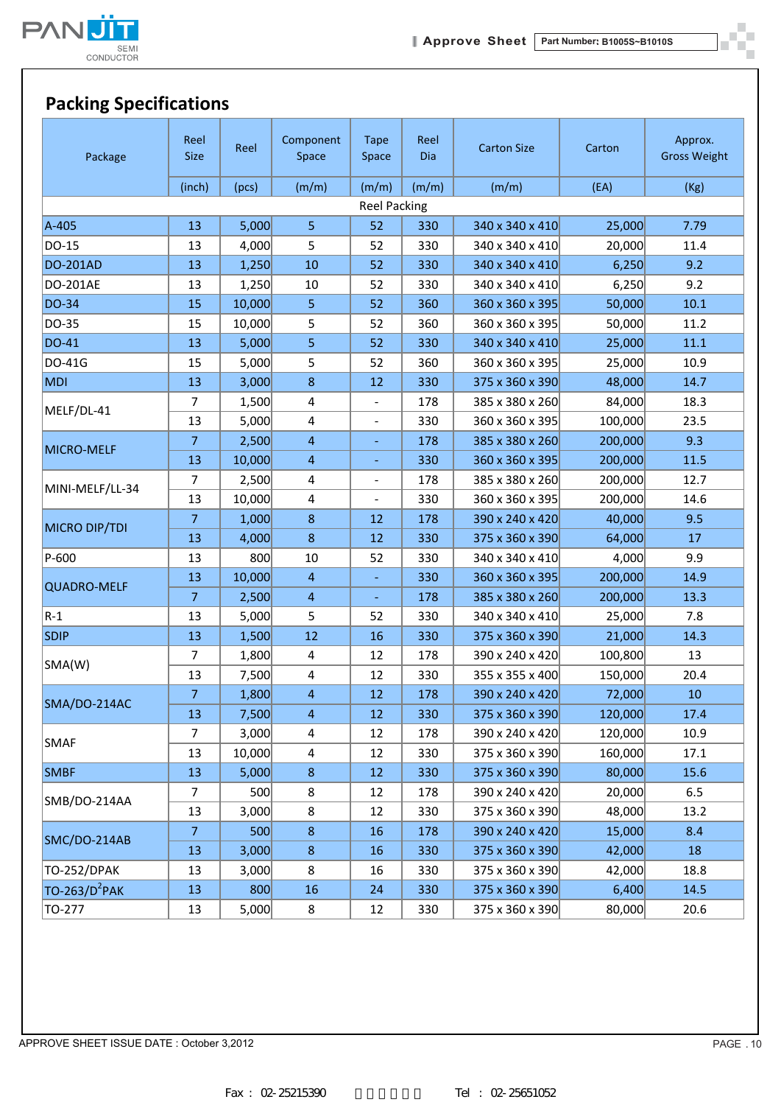

 $\mathcal{L}$ 

### **Packing Specifications**

| Package                   | Reel<br><b>Size</b> | Reel   | Component<br>Space | <b>Tape</b><br>Space     | Reel<br>Dia | <b>Carton Size</b> | Carton  | Approx.<br><b>Gross Weight</b> |
|---------------------------|---------------------|--------|--------------------|--------------------------|-------------|--------------------|---------|--------------------------------|
|                           | (inch)              | (pcs)  | (m/m)              | (m/m)                    | (m/m)       | (m/m)              | (EA)    | (Kg)                           |
|                           |                     |        |                    | <b>Reel Packing</b>      |             |                    |         |                                |
| A-405                     | 13                  | 5,000  | 5                  | 52                       | 330         | 340 x 340 x 410    | 25,000  | 7.79                           |
| DO-15                     | 13                  | 4,000  | 5                  | 52                       | 330         | 340 x 340 x 410    | 20,000  | 11.4                           |
| <b>DO-201AD</b>           | 13                  | 1,250  | 10                 | 52                       | 330         | 340 x 340 x 410    | 6,250   | 9.2                            |
| DO-201AE                  | 13                  | 1,250  | 10                 | 52                       | 330         | 340 x 340 x 410    | 6,250   | 9.2                            |
| DO-34                     | 15                  | 10,000 | 5                  | 52                       | 360         | 360 x 360 x 395    | 50,000  | 10.1                           |
| DO-35                     | 15                  | 10,000 | 5                  | 52                       | 360         | 360 x 360 x 395    | 50,000  | 11.2                           |
| DO-41                     | 13                  | 5,000  | 5                  | 52                       | 330         | 340 x 340 x 410    | 25,000  | 11.1                           |
| DO-41G                    | 15                  | 5,000  | 5                  | 52                       | 360         | 360 x 360 x 395    | 25,000  | 10.9                           |
| <b>MDI</b>                | 13                  | 3,000  | 8                  | 12                       | 330         | 375 x 360 x 390    | 48,000  | 14.7                           |
|                           | 7                   | 1,500  | 4                  | $\frac{1}{2}$            | 178         | 385 x 380 x 260    | 84,000  | 18.3                           |
| MELF/DL-41                | 13                  | 5,000  | 4                  | $\overline{\phantom{0}}$ | 330         | 360 x 360 x 395    | 100,000 | 23.5                           |
|                           | $\overline{7}$      | 2,500  | $\overline{4}$     |                          | 178         | 385 x 380 x 260    | 200,000 | 9.3                            |
| <b>MICRO-MELF</b>         | 13                  | 10,000 | $\overline{4}$     | ۳                        | 330         | 360 x 360 x 395    | 200,000 | 11.5                           |
|                           | 7                   | 2,500  | 4                  |                          | 178         | 385 x 380 x 260    | 200,000 | 12.7                           |
| MINI-MELF/LL-34           | 13                  | 10,000 | 4                  | $\overline{\phantom{a}}$ | 330         | 360 x 360 x 395    | 200,000 | 14.6                           |
|                           | $\overline{7}$      | 1,000  | 8                  | 12                       | 178         | 390 x 240 x 420    | 40,000  | 9.5                            |
| MICRO DIP/TDI             | 13                  | 4,000  | $\bf 8$            | 12                       | 330         | 375 x 360 x 390    | 64,000  | 17                             |
| P-600                     | 13                  | 800    | 10                 | 52                       | 330         | 340 x 340 x 410    | 4,000   | 9.9                            |
| <b>QUADRO-MELF</b>        | 13                  | 10,000 | $\overline{4}$     | $\omega_{\rm c}$         | 330         | 360 x 360 x 395    | 200,000 | 14.9                           |
|                           | $\overline{7}$      | 2,500  | $\overline{4}$     |                          | 178         | 385 x 380 x 260    | 200,000 | 13.3                           |
| $R-1$                     | 13                  | 5,000  | 5                  | 52                       | 330         | 340 x 340 x 410    | 25,000  | 7.8                            |
| <b>SDIP</b>               | 13                  | 1,500  | 12                 | 16                       | 330         | 375 x 360 x 390    | 21,000  | 14.3                           |
| SMA(W)                    | 7                   | 1,800  | 4                  | 12                       | 178         | 390 x 240 x 420    | 100,800 | 13                             |
|                           | 13                  | 7,500  | 4                  | 12                       | 330         | 355 x 355 x 400    | 150,000 | 20.4                           |
|                           | $\overline{7}$      | 1,800  | $\overline{4}$     | 12                       | 178         | 390 x 240 x 420    | 72,000  | 10                             |
| SMA/DO-214AC              | 13                  | 7,500  | 4                  | 12                       | 330         | 375 x 360 x 390    | 120,000 | 17.4                           |
| SMAF                      | 7                   | 3,000  | 4                  | 12                       | 178         | 390 x 240 x 420    | 120,000 | 10.9                           |
|                           | 13                  | 10,000 | 4                  | 12                       | 330         | 375 x 360 x 390    | 160,000 | 17.1                           |
| <b>SMBF</b>               | 13                  | 5,000  | $\bf 8$            | 12                       | 330         | 375 x 360 x 390    | 80,000  | 15.6                           |
| SMB/DO-214AA              | $\overline{7}$      | 500    | 8                  | 12                       | 178         | 390 x 240 x 420    | 20,000  | 6.5                            |
|                           | 13                  | 3,000  | 8                  | 12                       | 330         | 375 x 360 x 390    | 48,000  | 13.2                           |
| SMC/DO-214AB              | $\overline{7}$      | 500    | 8                  | 16                       | 178         | 390 x 240 x 420    | 15,000  | 8.4                            |
|                           | 13                  | 3,000  | 8                  | 16                       | 330         | 375 x 360 x 390    | 42,000  | 18                             |
| <b>TO-252/DPAK</b>        | 13                  | 3,000  | 8                  | 16                       | 330         | 375 x 360 x 390    | 42,000  | 18.8                           |
| TO-263/D <sup>2</sup> PAK | 13                  | 800    | 16                 | 24                       | 330         | 375 x 360 x 390    | 6,400   | 14.5                           |
| TO-277                    | 13                  | 5,000  | 8                  | 12                       | 330         | 375 x 360 x 390    | 80,000  | 20.6                           |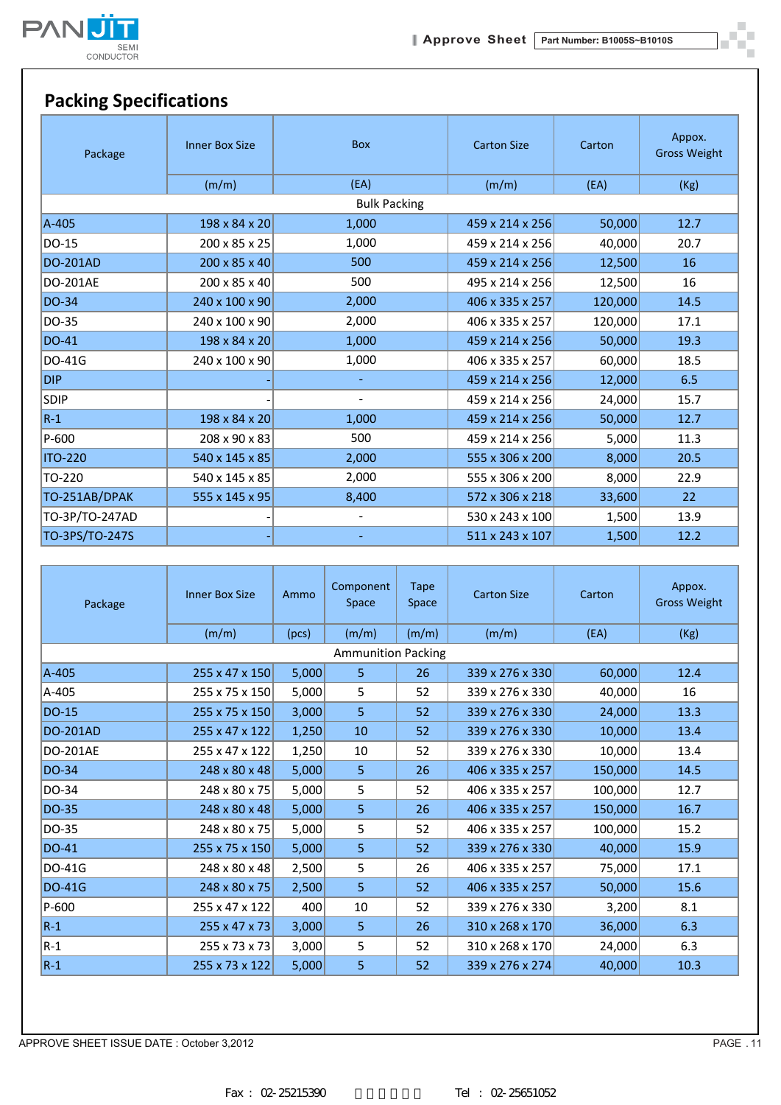

 $\blacksquare$ шí 'n

# **Packing Specifications**

| Package         | <b>Inner Box Size</b> | <b>Box</b>               | <b>Carton Size</b> | Carton  | Appox.<br><b>Gross Weight</b> |
|-----------------|-----------------------|--------------------------|--------------------|---------|-------------------------------|
|                 | (m/m)                 | (EA)                     | (m/m)              | (EA)    | (Kg)                          |
|                 |                       | <b>Bulk Packing</b>      |                    |         |                               |
| $A-405$         | 198 x 84 x 20         | 1,000                    | 459 x 214 x 256    | 50,000  | 12.7                          |
| DO-15           | 200 x 85 x 25         | 1,000                    | 459 x 214 x 256    | 40,000  | 20.7                          |
| <b>DO-201AD</b> | 200 x 85 x 40         | 500                      | 459 x 214 x 256    | 12,500  | 16                            |
| DO-201AE        | 200 x 85 x 40         | 500                      | 495 x 214 x 256    | 12,500  | 16                            |
| <b>DO-34</b>    | 240 x 100 x 90        | 2,000                    | 406 x 335 x 257    | 120,000 | 14.5                          |
| DO-35           | 240 x 100 x 90        | 2,000                    | 406 x 335 x 257    | 120,000 | 17.1                          |
| <b>DO-41</b>    | 198 x 84 x 20         | 1,000                    | 459 x 214 x 256    | 50,000  | 19.3                          |
| <b>DO-41G</b>   | 240 x 100 x 90        | 1,000                    | 406 x 335 x 257    | 60,000  | 18.5                          |
| <b>DIP</b>      |                       |                          | 459 x 214 x 256    | 12,000  | 6.5                           |
| <b>SDIP</b>     |                       | $\blacksquare$           | 459 x 214 x 256    | 24,000  | 15.7                          |
| $R-1$           | 198 x 84 x 20         | 1,000                    | 459 x 214 x 256    | 50,000  | 12.7                          |
| P-600           | 208 x 90 x 83         | 500                      | 459 x 214 x 256    | 5,000   | 11.3                          |
| <b>ITO-220</b>  | 540 x 145 x 85        | 2,000                    | 555 x 306 x 200    | 8,000   | 20.5                          |
| TO-220          | 540 x 145 x 85        | 2,000                    | 555 x 306 x 200    | 8,000   | 22.9                          |
| TO-251AB/DPAK   | 555 x 145 x 95        | 8,400                    | 572 x 306 x 218    | 33,600  | 22                            |
| TO-3P/TO-247AD  |                       | $\overline{\phantom{a}}$ | 530 x 243 x 100    | 1,500   | 13.9                          |
| TO-3PS/TO-247S  |                       |                          | 511 x 243 x 107    | 1,500   | 12.2                          |

| Package         | <b>Inner Box Size</b> | Ammo  | Component<br>Space        | Tape<br>Space | <b>Carton Size</b> | Carton  | Appox.<br><b>Gross Weight</b> |
|-----------------|-----------------------|-------|---------------------------|---------------|--------------------|---------|-------------------------------|
|                 | (m/m)                 | (pcs) | (m/m)                     | (m/m)         | (m/m)              | (EA)    | (Kg)                          |
|                 |                       |       | <b>Ammunition Packing</b> |               |                    |         |                               |
| $A-405$         | 255 x 47 x 150        | 5,000 | 5 <sub>o</sub>            | 26            | 339 x 276 x 330    | 60,000  | 12.4                          |
| A-405           | 255 x 75 x 150        | 5,000 | 5                         | 52            | 339 x 276 x 330    | 40,000  | 16                            |
| DO-15           | 255 x 75 x 150        | 3,000 | 5                         | 52            | 339 x 276 x 330    | 24,000  | 13.3                          |
| <b>DO-201AD</b> | 255 x 47 x 122        | 1,250 | 10                        | 52            | 339 x 276 x 330    | 10,000  | 13.4                          |
| <b>DO-201AE</b> | 255 x 47 x 122        | 1,250 | 10                        | 52            | 339 x 276 x 330    | 10,000  | 13.4                          |
| DO-34           | 248 x 80 x 48         | 5,000 | 5 <sub>o</sub>            | 26            | 406 x 335 x 257    | 150,000 | 14.5                          |
| DO-34           | 248 x 80 x 75         | 5,000 | 5                         | 52            | 406 x 335 x 257    | 100,000 | 12.7                          |
| DO-35           | 248 x 80 x 48         | 5,000 | 5                         | 26            | 406 x 335 x 257    | 150,000 | 16.7                          |
| DO-35           | 248 x 80 x 75         | 5,000 | 5                         | 52            | 406 x 335 x 257    | 100,000 | 15.2                          |
| DO-41           | 255 x 75 x 150        | 5,000 | 5                         | 52            | 339 x 276 x 330    | 40,000  | 15.9                          |
| DO-41G          | 248 x 80 x 48         | 2,500 | 5                         | 26            | 406 x 335 x 257    | 75,000  | 17.1                          |
| <b>DO-41G</b>   | 248 x 80 x 75         | 2,500 | 5                         | 52            | 406 x 335 x 257    | 50,000  | 15.6                          |
| P-600           | 255 x 47 x 122        | 400   | 10                        | 52            | 339 x 276 x 330    | 3,200   | 8.1                           |
| $R-1$           | 255 x 47 x 73         | 3,000 | 5                         | 26            | 310 x 268 x 170    | 36,000  | 6.3                           |
| $R-1$           | 255 x 73 x 73         | 3,000 | 5.                        | 52            | 310 x 268 x 170    | 24,000  | 6.3                           |
| $R-1$           | 255 x 73 x 122        | 5,000 | 5                         | 52            | 339 x 276 x 274    | 40,000  | 10.3                          |

APPROVE SHEET ISSUE DATE : October 3,2012